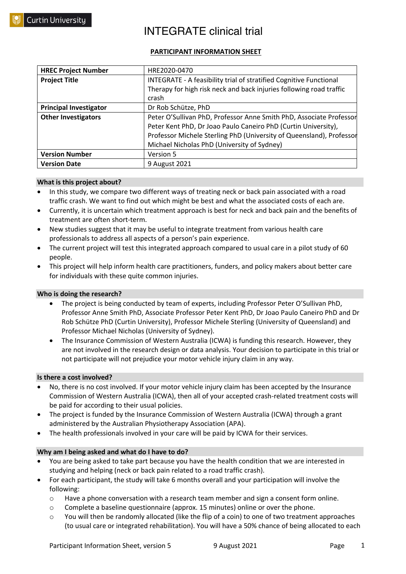### **PARTICIPANT INFORMATION SHEET**

| <b>HREC Project Number</b>    | HRE2020-0470                                                         |
|-------------------------------|----------------------------------------------------------------------|
| <b>Project Title</b>          | INTEGRATE - A feasibility trial of stratified Cognitive Functional   |
|                               | Therapy for high risk neck and back injuries following road traffic  |
|                               | crash                                                                |
| <b>Principal Investigator</b> | Dr Rob Schütze, PhD                                                  |
| <b>Other Investigators</b>    | Peter O'Sullivan PhD, Professor Anne Smith PhD, Associate Professor  |
|                               | Peter Kent PhD, Dr Joao Paulo Caneiro PhD (Curtin University),       |
|                               | Professor Michele Sterling PhD (University of Queensland), Professor |
|                               | Michael Nicholas PhD (University of Sydney)                          |
| <b>Version Number</b>         | <b>Version 5</b>                                                     |
| <b>Version Date</b>           | 9 August 2021                                                        |

#### **What is this project about?**

- In this study, we compare two different ways of treating neck or back pain associated with a road traffic crash. We want to find out which might be best and what the associated costs of each are.
- Currently, it is uncertain which treatment approach is best for neck and back pain and the benefits of treatment are often short-term.
- New studies suggest that it may be useful to integrate treatment from various health care professionals to address all aspects of a person's pain experience.
- The current project will test this integrated approach compared to usual care in a pilot study of 60 people.
- This project will help inform health care practitioners, funders, and policy makers about better care for individuals with these quite common injuries.

#### **Who is doing the research?**

- The project is being conducted by team of experts, including Professor Peter O'Sullivan PhD, Professor Anne Smith PhD, Associate Professor Peter Kent PhD, Dr Joao Paulo Caneiro PhD and Dr Rob Schütze PhD (Curtin University), Professor Michele Sterling (University of Queensland) and Professor Michael Nicholas (University of Sydney).
- The Insurance Commission of Western Australia (ICWA) is funding this research. However, they are not involved in the research design or data analysis. Your decision to participate in this trial or not participate will not prejudice your motor vehicle injury claim in any way.

#### **Is there a cost involved?**

- No, there is no cost involved. If your motor vehicle injury claim has been accepted by the Insurance Commission of Western Australia (ICWA), then all of your accepted crash-related treatment costs will be paid for according to their usual policies.
- The project is funded by the Insurance Commission of Western Australia (ICWA) through a grant administered by the Australian Physiotherapy Association (APA).
- The health professionals involved in your care will be paid by ICWA for their services.

#### **Why am I being asked and what do I have to do?**

- You are being asked to take part because you have the health condition that we are interested in studying and helping (neck or back pain related to a road traffic crash).
- For each participant, the study will take 6 months overall and your participation will involve the following:
	- $\circ$  Have a phone conversation with a research team member and sign a consent form online.
	- o Complete a baseline questionnaire (approx. 15 minutes) online or over the phone.
	- $\circ$  You will then be randomly allocated (like the flip of a coin) to one of two treatment approaches (to usual care or integrated rehabilitation). You will have a 50% chance of being allocated to each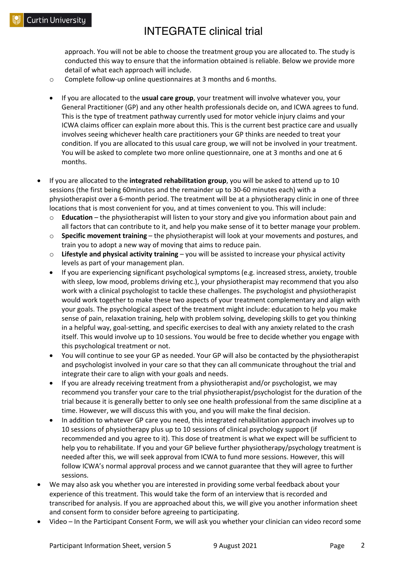approach. You will not be able to choose the treatment group you are allocated to. The study is conducted this way to ensure that the information obtained is reliable. Below we provide more detail of what each approach will include.

- o Complete follow-up online questionnaires at 3 months and 6 months.
- If you are allocated to the **usual care group**, your treatment will involve whatever you, your General Practitioner (GP) and any other health professionals decide on, and ICWA agrees to fund. This is the type of treatment pathway currently used for motor vehicle injury claims and your ICWA claims officer can explain more about this. This is the current best practice care and usually involves seeing whichever health care practitioners your GP thinks are needed to treat your condition. If you are allocated to this usual care group, we will not be involved in your treatment. You will be asked to complete two more online questionnaire, one at 3 months and one at 6 months.
- If you are allocated to the **integrated rehabilitation group**, you will be asked to attend up to 10 sessions (the first being 60minutes and the remainder up to 30-60 minutes each) with a physiotherapist over a 6-month period. The treatment will be at a physiotherapy clinic in one of three locations that is most convenient for you, and at times convenient to you. This will include:
	- **Education** the physiotherapist will listen to your story and give you information about pain and all factors that can contribute to it, and help you make sense of it to better manage your problem.
	- o **Specific movement training** the physiotherapist will look at your movements and postures, and train you to adopt a new way of moving that aims to reduce pain.
	- o **Lifestyle and physical activity training** you will be assisted to increase your physical activity levels as part of your management plan.
	- If you are experiencing significant psychological symptoms (e.g. increased stress, anxiety, trouble with sleep, low mood, problems driving etc.), your physiotherapist may recommend that you also work with a clinical psychologist to tackle these challenges. The psychologist and physiotherapist would work together to make these two aspects of your treatment complementary and align with your goals. The psychological aspect of the treatment might include: education to help you make sense of pain, relaxation training, help with problem solving, developing skills to get you thinking in a helpful way, goal-setting, and specific exercises to deal with any anxiety related to the crash itself. This would involve up to 10 sessions. You would be free to decide whether you engage with this psychological treatment or not.
	- You will continue to see your GP as needed. Your GP will also be contacted by the physiotherapist and psychologist involved in your care so that they can all communicate throughout the trial and integrate their care to align with your goals and needs.
	- If you are already receiving treatment from a physiotherapist and/or psychologist, we may recommend you transfer your care to the trial physiotherapist/psychologist for the duration of the trial because it is generally better to only see one health professional from the same discipline at a time. However, we will discuss this with you, and you will make the final decision.
	- In addition to whatever GP care you need, this integrated rehabilitation approach involves up to 10 sessions of physiotherapy plus up to 10 sessions of clinical psychology support (if recommended and you agree to it). This dose of treatment is what we expect will be sufficient to help you to rehabilitate. If you and your GP believe further physiotherapy/psychology treatment is needed after this, we will seek approval from ICWA to fund more sessions. However, this will follow ICWA's normal approval process and we cannot guarantee that they will agree to further sessions.
- We may also ask you whether you are interested in providing some verbal feedback about your experience of this treatment. This would take the form of an interview that is recorded and transcribed for analysis. If you are approached about this, we will give you another information sheet and consent form to consider before agreeing to participating.
- Video In the Participant Consent Form, we will ask you whether your clinician can video record some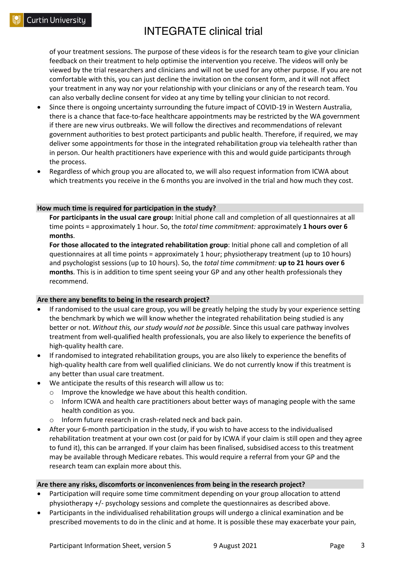of your treatment sessions. The purpose of these videos is for the research team to give your clinician feedback on their treatment to help optimise the intervention you receive. The videos will only be viewed by the trial researchers and clinicians and will not be used for any other purpose. If you are not comfortable with this, you can just decline the invitation on the consent form, and it will not affect your treatment in any way nor your relationship with your clinicians or any of the research team. You can also verbally decline consent for video at any time by telling your clinician to not record.

- Since there is ongoing uncertainty surrounding the future impact of COVID-19 in Western Australia, there is a chance that face-to-face healthcare appointments may be restricted by the WA government if there are new virus outbreaks. We will follow the directives and recommendations of relevant government authorities to best protect participants and public health. Therefore, if required, we may deliver some appointments for those in the integrated rehabilitation group via telehealth rather than in person. Our health practitioners have experience with this and would guide participants through the process.
- Regardless of which group you are allocated to, we will also request information from ICWA about which treatments you receive in the 6 months you are involved in the trial and how much they cost.

#### **How much time is required for participation in the study?**

**For participants in the usual care group:** Initial phone call and completion of all questionnaires at all time points = approximately 1 hour. So, the *total time commitment:* approximately **1 hours over 6 months**.

**For those allocated to the integrated rehabilitation group**: Initial phone call and completion of all questionnaires at all time points = approximately 1 hour; physiotherapy treatment (up to 10 hours) and psychologist sessions (up to 10 hours). So, the *total time commitment:* **up to 21 hours over 6 months**. This is in addition to time spent seeing your GP and any other health professionals they recommend.

#### **Are there any benefits to being in the research project?**

- If randomised to the usual care group, you will be greatly helping the study by your experience setting the benchmark by which we will know whether the integrated rehabilitation being studied is any better or not. *Without this, our study would not be possible.* Since this usual care pathway involves treatment from well-qualified health professionals, you are also likely to experience the benefits of high-quality health care.
- If randomised to integrated rehabilitation groups, you are also likely to experience the benefits of high-quality health care from well qualified clinicians. We do not currently know if this treatment is any better than usual care treatment.
- We anticipate the results of this research will allow us to:
	- o Improve the knowledge we have about this health condition.
	- $\circ$  Inform ICWA and health care practitioners about better ways of managing people with the same health condition as you.
	- o Inform future research in crash-related neck and back pain.
- After your 6-month participation in the study, if you wish to have access to the individualised rehabilitation treatment at your own cost (or paid for by ICWA if your claim is still open and they agree to fund it), this can be arranged. If your claim has been finalised, subsidised access to this treatment may be available through Medicare rebates. This would require a referral from your GP and the research team can explain more about this.

#### **Are there any risks, discomforts or inconveniences from being in the research project?**

- Participation will require some time commitment depending on your group allocation to attend physiotherapy +/- psychology sessions and complete the questionnaires as described above.
- Participants in the individualised rehabilitation groups will undergo a clinical examination and be prescribed movements to do in the clinic and at home. It is possible these may exacerbate your pain,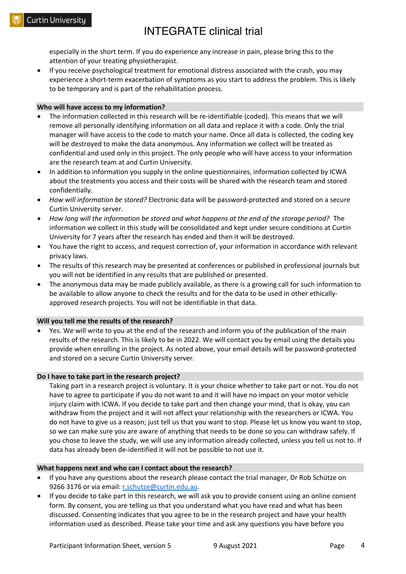especially in the short term. If you do experience any increase in pain, please bring this to the attention of your treating physiotherapist.

• If you receive psychological treatment for emotional distress associated with the crash, you may experience a short-term exacerbation of symptoms as you start to address the problem. This is likely to be temporary and is part of the rehabilitation process.

#### **Who will have access to my information?**

- The information collected in this research will be re-identifiable (coded). This means that we will remove all personally identifying information on all data and replace it with a code. Only the trial manager will have access to the code to match your name. Once all data is collected, the coding key will be destroyed to make the data anonymous. Any information we collect will be treated as confidential and used only in this project. The only people who will have access to your information are the research team at and Curtin University.
- In addition to information you supply in the online questionnaires, information collected by ICWA about the treatments you access and their costs will be shared with the research team and stored confidentially.
- *How will information be stored?* Electronic data will be password-protected and stored on a secure Curtin University server.
- *How long will the information be stored and what happens at the end of the storage period?* The information we collect in this study will be consolidated and kept under secure conditions at Curtin University for 7 years after the research has ended and then it will be destroyed.
- You have the right to access, and request correction of, your information in accordance with relevant privacy laws.
- The results of this research may be presented at conferences or published in professional journals but you will not be identified in any results that are published or presented.
- The anonymous data may be made publicly available, as there is a growing call for such information to be available to allow anyone to check the results and for the data to be used in other ethicallyapproved research projects. You will not be identifiable in that data.

#### **Will you tell me the results of the research?**

• Yes. We will write to you at the end of the research and inform you of the publication of the main results of the research. This is likely to be in 2022. We will contact you by email using the details you provide when enrolling in the project. As noted above, your email details will be password-protected and stored on a secure Curtin University server.

#### **Do I have to take part in the research project?**

Taking part in a research project is voluntary. It is your choice whether to take part or not. You do not have to agree to participate if you do not want to and it will have no impact on your motor vehicle injury claim with ICWA. If you decide to take part and then change your mind, that is okay, you can withdraw from the project and it will not affect your relationship with the researchers or ICWA. You do not have to give us a reason; just tell us that you want to stop. Please let us know you want to stop, so we can make sure you are aware of anything that needs to be done so you can withdraw safely. If you chose to leave the study, we will use any information already collected, unless you tell us not to. If data has already been de-identified it will not be possible to not use it.

#### **What happens next and who can I contact about the research?**

- If you have any questions about the research please contact the trial manager, Dr Rob Schütze on 9266 3176 or via email: r.schutze@curtin.edu.au.
- If you decide to take part in this research, we will ask you to provide consent using an online consent form. By consent, you are telling us that you understand what you have read and what has been discussed. Consenting indicates that you agree to be in the research project and have your health information used as described. Please take your time and ask any questions you have before you